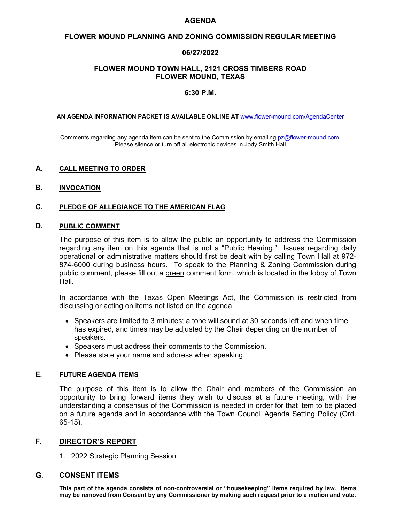#### **AGENDA**

### **FLOWER MOUND PLANNING AND ZONING COMMISSION REGULAR MEETING**

# **06/27/2022**

### **FLOWER MOUND TOWN HALL, 2121 CROSS TIMBERS ROAD FLOWER MOUND, TEXAS**

# **6:30 P.M.**

#### 

**AN AGENDA INFORMATION PACKET IS AVAILABLE ONLINE AT** [www.flower-mound.com/AgendaCenter](http://www.flower-mound.com/AgendaCenter)

Comments regarding any agenda item can be sent to the Commission by emailing [pz@flower-mound.com.](mailto:pz@flower-mound.com) Please silence or turn off all electronic devices in Jody Smith Hall

### **A. CALL MEETING TO ORDER**

#### **B. INVOCATION**

# **C. PLEDGE OF ALLEGIANCE TO THE AMERICAN FLAG**

# **D. PUBLIC COMMENT**

The purpose of this item is to allow the public an opportunity to address the Commission regarding any item on this agenda that is not a "Public Hearing." Issues regarding daily operational or administrative matters should first be dealt with by calling Town Hall at 972- 874-6000 during business hours. To speak to the Planning & Zoning Commission during public comment, please fill out a green comment form, which is located in the lobby of Town Hall.

In accordance with the Texas Open Meetings Act, the Commission is restricted from discussing or acting on items not listed on the agenda.

- Speakers are limited to 3 minutes; a tone will sound at 30 seconds left and when time has expired, and times may be adjusted by the Chair depending on the number of speakers.
- Speakers must address their comments to the Commission.
- Please state your name and address when speaking.

# **E. FUTURE AGENDA ITEMS**

The purpose of this item is to allow the Chair and members of the Commission an opportunity to bring forward items they wish to discuss at a future meeting, with the understanding a consensus of the Commission is needed in order for that item to be placed on a future agenda and in accordance with the Town Council Agenda Setting Policy (Ord. 65-15).

# **F. DIRECTOR'S REPORT**

1. 2022 Strategic Planning Session

# **G. CONSENT ITEMS**

**This part of the agenda consists of non-controversial or "housekeeping" items required by law. Items may be removed from Consent by any Commissioner by making such request prior to a motion and vote.**